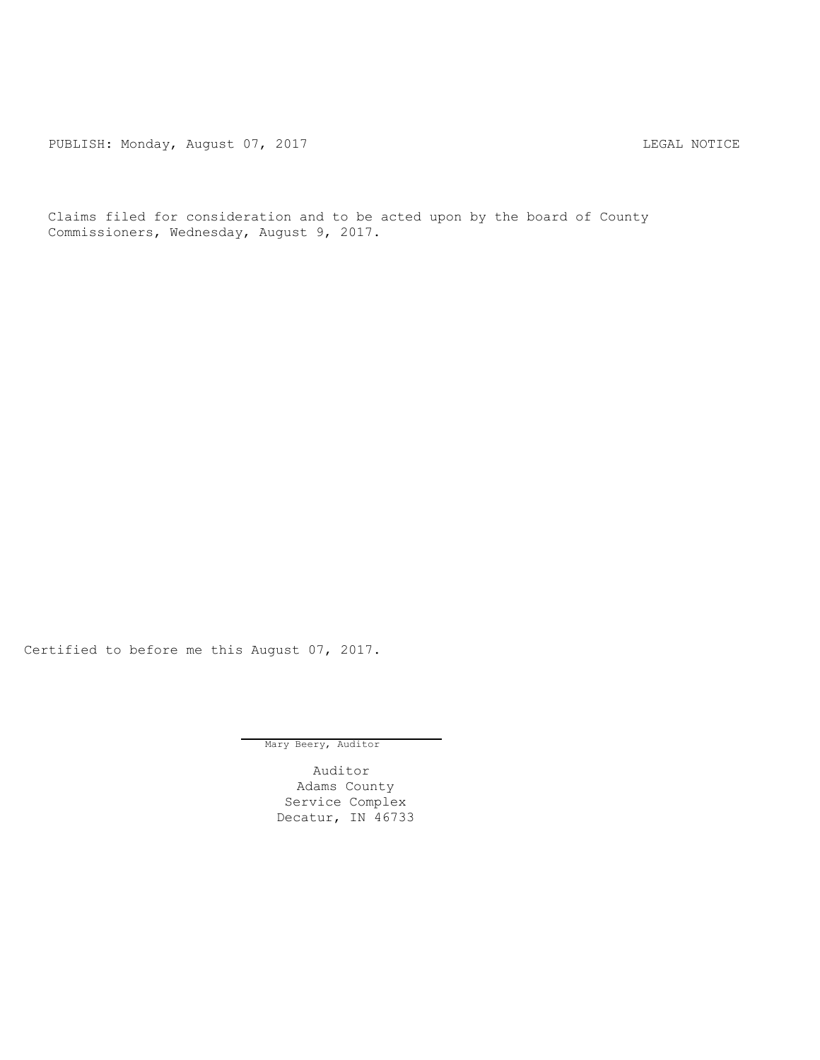PUBLISH: Monday, August 07, 2017 CHANGER AND THE MOTICE

Claims filed for consideration and to be acted upon by the board of County Commissioners, Wednesday, August 9, 2017.

Certified to before me this August 07, 2017.

Mary Beery, Auditor

Auditor Adams County Service Complex Decatur, IN 46733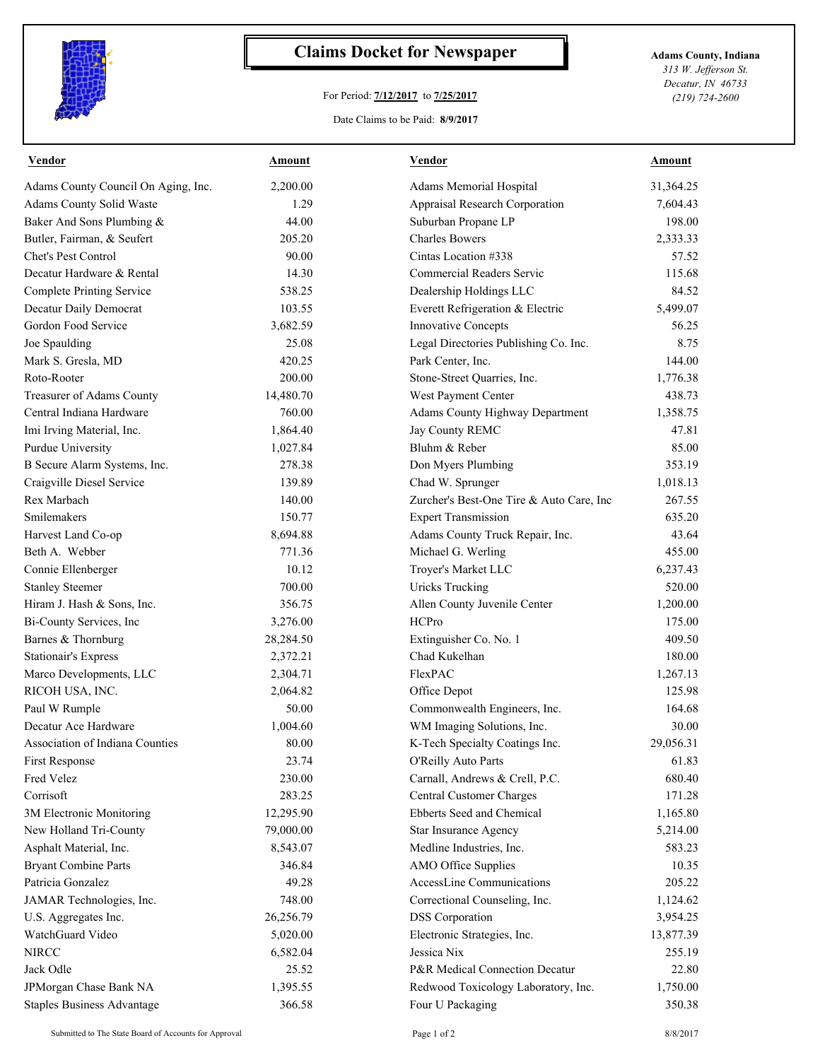

## **Claims Docket for Newspaper Adams County, Indiana**

## For Period: **7/12/2017** to **7/25/2017**

*313 W. Jefferson St. Decatur, IN 46733 (219) 724-2600*

Date Claims to be Paid: **8/9/2017**

| Adams County Council On Aging, Inc.<br>2,200.00<br>Adams Memorial Hospital<br>31,364.25<br>Adams County Solid Waste<br>Appraisal Research Corporation<br>1.29<br>7,604.43<br>Suburban Propane LP<br>198.00<br>44.00<br><b>Charles Bowers</b><br>205.20<br>2,333.33<br>90.00<br>Cintas Location #338<br>57.52<br>14.30<br>Commercial Readers Servic<br>115.68<br>538.25<br>Dealership Holdings LLC<br>84.52<br>Everett Refrigeration & Electric<br>5,499.07<br>103.55<br>3,682.59<br>Innovative Concepts<br>56.25<br>Legal Directories Publishing Co. Inc.<br>Joe Spaulding<br>25.08<br>8.75<br>420.25<br>Park Center, Inc.<br>144.00<br>200.00<br>Stone-Street Quarries, Inc.<br>1,776.38<br>438.73<br>Treasurer of Adams County<br>14,480.70<br>West Payment Center<br>760.00<br>Adams County Highway Department<br>1,358.75<br>Jay County REMC<br>47.81<br>1,864.40<br>Bluhm & Reber<br>1,027.84<br>85.00<br>Don Myers Plumbing<br>353.19<br>278.38<br>Chad W. Sprunger<br>1,018.13<br>139.89<br>Zurcher's Best-One Tire & Auto Care, Inc<br>267.55<br>140.00<br><b>Expert Transmission</b><br>Smilemakers<br>150.77<br>635.20<br>8,694.88<br>43.64<br>Adams County Truck Repair, Inc.<br>Michael G. Werling<br>Beth A. Webber<br>771.36<br>455.00<br>10.12<br>Troyer's Market LLC<br>6,237.43<br>700.00<br><b>Uricks Trucking</b><br>520.00<br>356.75<br>Allen County Juvenile Center<br>1,200.00<br>3,276.00<br>HCPro<br>175.00<br>Extinguisher Co. No. 1<br>28,284.50<br>409.50<br>Chad Kukelhan<br><b>Stationair's Express</b><br>2,372.21<br>180.00<br>FlexPAC<br>2,304.71<br>1,267.13<br>125.98<br>2,064.82<br>Office Depot<br>Commonwealth Engineers, Inc.<br>164.68<br>50.00<br>WM Imaging Solutions, Inc.<br>30.00<br>1,004.60<br>80.00<br>29,056.31<br>Association of Indiana Counties<br>K-Tech Specialty Coatings Inc.<br>23.74<br>61.83<br>O'Reilly Auto Parts<br>230.00<br>Carnall, Andrews & Crell, P.C.<br>680.40<br><b>Central Customer Charges</b><br>283.25<br>171.28<br>Ebberts Seed and Chemical<br>3M Electronic Monitoring<br>12,295.90<br>1,165.80<br>79,000.00<br>Star Insurance Agency<br>5,214.00<br>Asphalt Material, Inc.<br>8,543.07<br>Medline Industries, Inc.<br>583.23<br><b>Bryant Combine Parts</b><br>346.84<br>AMO Office Supplies<br>10.35<br>AccessLine Communications<br>49.28<br>205.22<br>JAMAR Technologies, Inc.<br>748.00<br>Correctional Counseling, Inc.<br>1,124.62<br><b>DSS</b> Corporation<br>26,256.79<br>3,954.25<br>Electronic Strategies, Inc.<br>5,020.00<br>13,877.39<br>Jessica Nix<br>6,582.04<br>255.19<br>Jack Odle<br>25.52<br>P&R Medical Connection Decatur<br>22.80 | <b>Vendor</b>                    | Amount | <b>Vendor</b> | <b>Amount</b> |
|-----------------------------------------------------------------------------------------------------------------------------------------------------------------------------------------------------------------------------------------------------------------------------------------------------------------------------------------------------------------------------------------------------------------------------------------------------------------------------------------------------------------------------------------------------------------------------------------------------------------------------------------------------------------------------------------------------------------------------------------------------------------------------------------------------------------------------------------------------------------------------------------------------------------------------------------------------------------------------------------------------------------------------------------------------------------------------------------------------------------------------------------------------------------------------------------------------------------------------------------------------------------------------------------------------------------------------------------------------------------------------------------------------------------------------------------------------------------------------------------------------------------------------------------------------------------------------------------------------------------------------------------------------------------------------------------------------------------------------------------------------------------------------------------------------------------------------------------------------------------------------------------------------------------------------------------------------------------------------------------------------------------------------------------------------------------------------------------------------------------------------------------------------------------------------------------------------------------------------------------------------------------------------------------------------------------------------------------------------------------------------------------------------------------------------------------------------------------------------------------------------------------------------------------------------------------------------------------------------------------------------------------|----------------------------------|--------|---------------|---------------|
|                                                                                                                                                                                                                                                                                                                                                                                                                                                                                                                                                                                                                                                                                                                                                                                                                                                                                                                                                                                                                                                                                                                                                                                                                                                                                                                                                                                                                                                                                                                                                                                                                                                                                                                                                                                                                                                                                                                                                                                                                                                                                                                                                                                                                                                                                                                                                                                                                                                                                                                                                                                                                                         |                                  |        |               |               |
|                                                                                                                                                                                                                                                                                                                                                                                                                                                                                                                                                                                                                                                                                                                                                                                                                                                                                                                                                                                                                                                                                                                                                                                                                                                                                                                                                                                                                                                                                                                                                                                                                                                                                                                                                                                                                                                                                                                                                                                                                                                                                                                                                                                                                                                                                                                                                                                                                                                                                                                                                                                                                                         |                                  |        |               |               |
|                                                                                                                                                                                                                                                                                                                                                                                                                                                                                                                                                                                                                                                                                                                                                                                                                                                                                                                                                                                                                                                                                                                                                                                                                                                                                                                                                                                                                                                                                                                                                                                                                                                                                                                                                                                                                                                                                                                                                                                                                                                                                                                                                                                                                                                                                                                                                                                                                                                                                                                                                                                                                                         | Baker And Sons Plumbing &        |        |               |               |
|                                                                                                                                                                                                                                                                                                                                                                                                                                                                                                                                                                                                                                                                                                                                                                                                                                                                                                                                                                                                                                                                                                                                                                                                                                                                                                                                                                                                                                                                                                                                                                                                                                                                                                                                                                                                                                                                                                                                                                                                                                                                                                                                                                                                                                                                                                                                                                                                                                                                                                                                                                                                                                         | Butler, Fairman, & Seufert       |        |               |               |
|                                                                                                                                                                                                                                                                                                                                                                                                                                                                                                                                                                                                                                                                                                                                                                                                                                                                                                                                                                                                                                                                                                                                                                                                                                                                                                                                                                                                                                                                                                                                                                                                                                                                                                                                                                                                                                                                                                                                                                                                                                                                                                                                                                                                                                                                                                                                                                                                                                                                                                                                                                                                                                         | Chet's Pest Control              |        |               |               |
|                                                                                                                                                                                                                                                                                                                                                                                                                                                                                                                                                                                                                                                                                                                                                                                                                                                                                                                                                                                                                                                                                                                                                                                                                                                                                                                                                                                                                                                                                                                                                                                                                                                                                                                                                                                                                                                                                                                                                                                                                                                                                                                                                                                                                                                                                                                                                                                                                                                                                                                                                                                                                                         | Decatur Hardware & Rental        |        |               |               |
|                                                                                                                                                                                                                                                                                                                                                                                                                                                                                                                                                                                                                                                                                                                                                                                                                                                                                                                                                                                                                                                                                                                                                                                                                                                                                                                                                                                                                                                                                                                                                                                                                                                                                                                                                                                                                                                                                                                                                                                                                                                                                                                                                                                                                                                                                                                                                                                                                                                                                                                                                                                                                                         | <b>Complete Printing Service</b> |        |               |               |
|                                                                                                                                                                                                                                                                                                                                                                                                                                                                                                                                                                                                                                                                                                                                                                                                                                                                                                                                                                                                                                                                                                                                                                                                                                                                                                                                                                                                                                                                                                                                                                                                                                                                                                                                                                                                                                                                                                                                                                                                                                                                                                                                                                                                                                                                                                                                                                                                                                                                                                                                                                                                                                         | Decatur Daily Democrat           |        |               |               |
|                                                                                                                                                                                                                                                                                                                                                                                                                                                                                                                                                                                                                                                                                                                                                                                                                                                                                                                                                                                                                                                                                                                                                                                                                                                                                                                                                                                                                                                                                                                                                                                                                                                                                                                                                                                                                                                                                                                                                                                                                                                                                                                                                                                                                                                                                                                                                                                                                                                                                                                                                                                                                                         | Gordon Food Service              |        |               |               |
|                                                                                                                                                                                                                                                                                                                                                                                                                                                                                                                                                                                                                                                                                                                                                                                                                                                                                                                                                                                                                                                                                                                                                                                                                                                                                                                                                                                                                                                                                                                                                                                                                                                                                                                                                                                                                                                                                                                                                                                                                                                                                                                                                                                                                                                                                                                                                                                                                                                                                                                                                                                                                                         |                                  |        |               |               |
|                                                                                                                                                                                                                                                                                                                                                                                                                                                                                                                                                                                                                                                                                                                                                                                                                                                                                                                                                                                                                                                                                                                                                                                                                                                                                                                                                                                                                                                                                                                                                                                                                                                                                                                                                                                                                                                                                                                                                                                                                                                                                                                                                                                                                                                                                                                                                                                                                                                                                                                                                                                                                                         | Mark S. Gresla, MD               |        |               |               |
|                                                                                                                                                                                                                                                                                                                                                                                                                                                                                                                                                                                                                                                                                                                                                                                                                                                                                                                                                                                                                                                                                                                                                                                                                                                                                                                                                                                                                                                                                                                                                                                                                                                                                                                                                                                                                                                                                                                                                                                                                                                                                                                                                                                                                                                                                                                                                                                                                                                                                                                                                                                                                                         | Roto-Rooter                      |        |               |               |
|                                                                                                                                                                                                                                                                                                                                                                                                                                                                                                                                                                                                                                                                                                                                                                                                                                                                                                                                                                                                                                                                                                                                                                                                                                                                                                                                                                                                                                                                                                                                                                                                                                                                                                                                                                                                                                                                                                                                                                                                                                                                                                                                                                                                                                                                                                                                                                                                                                                                                                                                                                                                                                         |                                  |        |               |               |
|                                                                                                                                                                                                                                                                                                                                                                                                                                                                                                                                                                                                                                                                                                                                                                                                                                                                                                                                                                                                                                                                                                                                                                                                                                                                                                                                                                                                                                                                                                                                                                                                                                                                                                                                                                                                                                                                                                                                                                                                                                                                                                                                                                                                                                                                                                                                                                                                                                                                                                                                                                                                                                         | Central Indiana Hardware         |        |               |               |
|                                                                                                                                                                                                                                                                                                                                                                                                                                                                                                                                                                                                                                                                                                                                                                                                                                                                                                                                                                                                                                                                                                                                                                                                                                                                                                                                                                                                                                                                                                                                                                                                                                                                                                                                                                                                                                                                                                                                                                                                                                                                                                                                                                                                                                                                                                                                                                                                                                                                                                                                                                                                                                         | Imi Irving Material, Inc.        |        |               |               |
|                                                                                                                                                                                                                                                                                                                                                                                                                                                                                                                                                                                                                                                                                                                                                                                                                                                                                                                                                                                                                                                                                                                                                                                                                                                                                                                                                                                                                                                                                                                                                                                                                                                                                                                                                                                                                                                                                                                                                                                                                                                                                                                                                                                                                                                                                                                                                                                                                                                                                                                                                                                                                                         | <b>Purdue University</b>         |        |               |               |
|                                                                                                                                                                                                                                                                                                                                                                                                                                                                                                                                                                                                                                                                                                                                                                                                                                                                                                                                                                                                                                                                                                                                                                                                                                                                                                                                                                                                                                                                                                                                                                                                                                                                                                                                                                                                                                                                                                                                                                                                                                                                                                                                                                                                                                                                                                                                                                                                                                                                                                                                                                                                                                         | B Secure Alarm Systems, Inc.     |        |               |               |
|                                                                                                                                                                                                                                                                                                                                                                                                                                                                                                                                                                                                                                                                                                                                                                                                                                                                                                                                                                                                                                                                                                                                                                                                                                                                                                                                                                                                                                                                                                                                                                                                                                                                                                                                                                                                                                                                                                                                                                                                                                                                                                                                                                                                                                                                                                                                                                                                                                                                                                                                                                                                                                         | Craigville Diesel Service        |        |               |               |
|                                                                                                                                                                                                                                                                                                                                                                                                                                                                                                                                                                                                                                                                                                                                                                                                                                                                                                                                                                                                                                                                                                                                                                                                                                                                                                                                                                                                                                                                                                                                                                                                                                                                                                                                                                                                                                                                                                                                                                                                                                                                                                                                                                                                                                                                                                                                                                                                                                                                                                                                                                                                                                         | Rex Marbach                      |        |               |               |
|                                                                                                                                                                                                                                                                                                                                                                                                                                                                                                                                                                                                                                                                                                                                                                                                                                                                                                                                                                                                                                                                                                                                                                                                                                                                                                                                                                                                                                                                                                                                                                                                                                                                                                                                                                                                                                                                                                                                                                                                                                                                                                                                                                                                                                                                                                                                                                                                                                                                                                                                                                                                                                         |                                  |        |               |               |
|                                                                                                                                                                                                                                                                                                                                                                                                                                                                                                                                                                                                                                                                                                                                                                                                                                                                                                                                                                                                                                                                                                                                                                                                                                                                                                                                                                                                                                                                                                                                                                                                                                                                                                                                                                                                                                                                                                                                                                                                                                                                                                                                                                                                                                                                                                                                                                                                                                                                                                                                                                                                                                         | Harvest Land Co-op               |        |               |               |
|                                                                                                                                                                                                                                                                                                                                                                                                                                                                                                                                                                                                                                                                                                                                                                                                                                                                                                                                                                                                                                                                                                                                                                                                                                                                                                                                                                                                                                                                                                                                                                                                                                                                                                                                                                                                                                                                                                                                                                                                                                                                                                                                                                                                                                                                                                                                                                                                                                                                                                                                                                                                                                         |                                  |        |               |               |
|                                                                                                                                                                                                                                                                                                                                                                                                                                                                                                                                                                                                                                                                                                                                                                                                                                                                                                                                                                                                                                                                                                                                                                                                                                                                                                                                                                                                                                                                                                                                                                                                                                                                                                                                                                                                                                                                                                                                                                                                                                                                                                                                                                                                                                                                                                                                                                                                                                                                                                                                                                                                                                         | Connie Ellenberger               |        |               |               |
|                                                                                                                                                                                                                                                                                                                                                                                                                                                                                                                                                                                                                                                                                                                                                                                                                                                                                                                                                                                                                                                                                                                                                                                                                                                                                                                                                                                                                                                                                                                                                                                                                                                                                                                                                                                                                                                                                                                                                                                                                                                                                                                                                                                                                                                                                                                                                                                                                                                                                                                                                                                                                                         | <b>Stanley Steemer</b>           |        |               |               |
|                                                                                                                                                                                                                                                                                                                                                                                                                                                                                                                                                                                                                                                                                                                                                                                                                                                                                                                                                                                                                                                                                                                                                                                                                                                                                                                                                                                                                                                                                                                                                                                                                                                                                                                                                                                                                                                                                                                                                                                                                                                                                                                                                                                                                                                                                                                                                                                                                                                                                                                                                                                                                                         | Hiram J. Hash & Sons, Inc.       |        |               |               |
|                                                                                                                                                                                                                                                                                                                                                                                                                                                                                                                                                                                                                                                                                                                                                                                                                                                                                                                                                                                                                                                                                                                                                                                                                                                                                                                                                                                                                                                                                                                                                                                                                                                                                                                                                                                                                                                                                                                                                                                                                                                                                                                                                                                                                                                                                                                                                                                                                                                                                                                                                                                                                                         | Bi-County Services, Inc          |        |               |               |
|                                                                                                                                                                                                                                                                                                                                                                                                                                                                                                                                                                                                                                                                                                                                                                                                                                                                                                                                                                                                                                                                                                                                                                                                                                                                                                                                                                                                                                                                                                                                                                                                                                                                                                                                                                                                                                                                                                                                                                                                                                                                                                                                                                                                                                                                                                                                                                                                                                                                                                                                                                                                                                         | Barnes & Thornburg               |        |               |               |
|                                                                                                                                                                                                                                                                                                                                                                                                                                                                                                                                                                                                                                                                                                                                                                                                                                                                                                                                                                                                                                                                                                                                                                                                                                                                                                                                                                                                                                                                                                                                                                                                                                                                                                                                                                                                                                                                                                                                                                                                                                                                                                                                                                                                                                                                                                                                                                                                                                                                                                                                                                                                                                         |                                  |        |               |               |
|                                                                                                                                                                                                                                                                                                                                                                                                                                                                                                                                                                                                                                                                                                                                                                                                                                                                                                                                                                                                                                                                                                                                                                                                                                                                                                                                                                                                                                                                                                                                                                                                                                                                                                                                                                                                                                                                                                                                                                                                                                                                                                                                                                                                                                                                                                                                                                                                                                                                                                                                                                                                                                         | Marco Developments, LLC          |        |               |               |
|                                                                                                                                                                                                                                                                                                                                                                                                                                                                                                                                                                                                                                                                                                                                                                                                                                                                                                                                                                                                                                                                                                                                                                                                                                                                                                                                                                                                                                                                                                                                                                                                                                                                                                                                                                                                                                                                                                                                                                                                                                                                                                                                                                                                                                                                                                                                                                                                                                                                                                                                                                                                                                         | RICOH USA, INC.                  |        |               |               |
|                                                                                                                                                                                                                                                                                                                                                                                                                                                                                                                                                                                                                                                                                                                                                                                                                                                                                                                                                                                                                                                                                                                                                                                                                                                                                                                                                                                                                                                                                                                                                                                                                                                                                                                                                                                                                                                                                                                                                                                                                                                                                                                                                                                                                                                                                                                                                                                                                                                                                                                                                                                                                                         | Paul W Rumple                    |        |               |               |
|                                                                                                                                                                                                                                                                                                                                                                                                                                                                                                                                                                                                                                                                                                                                                                                                                                                                                                                                                                                                                                                                                                                                                                                                                                                                                                                                                                                                                                                                                                                                                                                                                                                                                                                                                                                                                                                                                                                                                                                                                                                                                                                                                                                                                                                                                                                                                                                                                                                                                                                                                                                                                                         | Decatur Ace Hardware             |        |               |               |
|                                                                                                                                                                                                                                                                                                                                                                                                                                                                                                                                                                                                                                                                                                                                                                                                                                                                                                                                                                                                                                                                                                                                                                                                                                                                                                                                                                                                                                                                                                                                                                                                                                                                                                                                                                                                                                                                                                                                                                                                                                                                                                                                                                                                                                                                                                                                                                                                                                                                                                                                                                                                                                         |                                  |        |               |               |
|                                                                                                                                                                                                                                                                                                                                                                                                                                                                                                                                                                                                                                                                                                                                                                                                                                                                                                                                                                                                                                                                                                                                                                                                                                                                                                                                                                                                                                                                                                                                                                                                                                                                                                                                                                                                                                                                                                                                                                                                                                                                                                                                                                                                                                                                                                                                                                                                                                                                                                                                                                                                                                         | First Response                   |        |               |               |
|                                                                                                                                                                                                                                                                                                                                                                                                                                                                                                                                                                                                                                                                                                                                                                                                                                                                                                                                                                                                                                                                                                                                                                                                                                                                                                                                                                                                                                                                                                                                                                                                                                                                                                                                                                                                                                                                                                                                                                                                                                                                                                                                                                                                                                                                                                                                                                                                                                                                                                                                                                                                                                         | Fred Velez                       |        |               |               |
|                                                                                                                                                                                                                                                                                                                                                                                                                                                                                                                                                                                                                                                                                                                                                                                                                                                                                                                                                                                                                                                                                                                                                                                                                                                                                                                                                                                                                                                                                                                                                                                                                                                                                                                                                                                                                                                                                                                                                                                                                                                                                                                                                                                                                                                                                                                                                                                                                                                                                                                                                                                                                                         | Corrisoft                        |        |               |               |
|                                                                                                                                                                                                                                                                                                                                                                                                                                                                                                                                                                                                                                                                                                                                                                                                                                                                                                                                                                                                                                                                                                                                                                                                                                                                                                                                                                                                                                                                                                                                                                                                                                                                                                                                                                                                                                                                                                                                                                                                                                                                                                                                                                                                                                                                                                                                                                                                                                                                                                                                                                                                                                         |                                  |        |               |               |
|                                                                                                                                                                                                                                                                                                                                                                                                                                                                                                                                                                                                                                                                                                                                                                                                                                                                                                                                                                                                                                                                                                                                                                                                                                                                                                                                                                                                                                                                                                                                                                                                                                                                                                                                                                                                                                                                                                                                                                                                                                                                                                                                                                                                                                                                                                                                                                                                                                                                                                                                                                                                                                         | New Holland Tri-County           |        |               |               |
|                                                                                                                                                                                                                                                                                                                                                                                                                                                                                                                                                                                                                                                                                                                                                                                                                                                                                                                                                                                                                                                                                                                                                                                                                                                                                                                                                                                                                                                                                                                                                                                                                                                                                                                                                                                                                                                                                                                                                                                                                                                                                                                                                                                                                                                                                                                                                                                                                                                                                                                                                                                                                                         |                                  |        |               |               |
|                                                                                                                                                                                                                                                                                                                                                                                                                                                                                                                                                                                                                                                                                                                                                                                                                                                                                                                                                                                                                                                                                                                                                                                                                                                                                                                                                                                                                                                                                                                                                                                                                                                                                                                                                                                                                                                                                                                                                                                                                                                                                                                                                                                                                                                                                                                                                                                                                                                                                                                                                                                                                                         |                                  |        |               |               |
|                                                                                                                                                                                                                                                                                                                                                                                                                                                                                                                                                                                                                                                                                                                                                                                                                                                                                                                                                                                                                                                                                                                                                                                                                                                                                                                                                                                                                                                                                                                                                                                                                                                                                                                                                                                                                                                                                                                                                                                                                                                                                                                                                                                                                                                                                                                                                                                                                                                                                                                                                                                                                                         | Patricia Gonzalez                |        |               |               |
|                                                                                                                                                                                                                                                                                                                                                                                                                                                                                                                                                                                                                                                                                                                                                                                                                                                                                                                                                                                                                                                                                                                                                                                                                                                                                                                                                                                                                                                                                                                                                                                                                                                                                                                                                                                                                                                                                                                                                                                                                                                                                                                                                                                                                                                                                                                                                                                                                                                                                                                                                                                                                                         |                                  |        |               |               |
|                                                                                                                                                                                                                                                                                                                                                                                                                                                                                                                                                                                                                                                                                                                                                                                                                                                                                                                                                                                                                                                                                                                                                                                                                                                                                                                                                                                                                                                                                                                                                                                                                                                                                                                                                                                                                                                                                                                                                                                                                                                                                                                                                                                                                                                                                                                                                                                                                                                                                                                                                                                                                                         | U.S. Aggregates Inc.             |        |               |               |
|                                                                                                                                                                                                                                                                                                                                                                                                                                                                                                                                                                                                                                                                                                                                                                                                                                                                                                                                                                                                                                                                                                                                                                                                                                                                                                                                                                                                                                                                                                                                                                                                                                                                                                                                                                                                                                                                                                                                                                                                                                                                                                                                                                                                                                                                                                                                                                                                                                                                                                                                                                                                                                         | WatchGuard Video                 |        |               |               |
|                                                                                                                                                                                                                                                                                                                                                                                                                                                                                                                                                                                                                                                                                                                                                                                                                                                                                                                                                                                                                                                                                                                                                                                                                                                                                                                                                                                                                                                                                                                                                                                                                                                                                                                                                                                                                                                                                                                                                                                                                                                                                                                                                                                                                                                                                                                                                                                                                                                                                                                                                                                                                                         | <b>NIRCC</b>                     |        |               |               |
|                                                                                                                                                                                                                                                                                                                                                                                                                                                                                                                                                                                                                                                                                                                                                                                                                                                                                                                                                                                                                                                                                                                                                                                                                                                                                                                                                                                                                                                                                                                                                                                                                                                                                                                                                                                                                                                                                                                                                                                                                                                                                                                                                                                                                                                                                                                                                                                                                                                                                                                                                                                                                                         |                                  |        |               |               |
| Redwood Toxicology Laboratory, Inc.<br>JPMorgan Chase Bank NA<br>1,395.55<br>1,750.00                                                                                                                                                                                                                                                                                                                                                                                                                                                                                                                                                                                                                                                                                                                                                                                                                                                                                                                                                                                                                                                                                                                                                                                                                                                                                                                                                                                                                                                                                                                                                                                                                                                                                                                                                                                                                                                                                                                                                                                                                                                                                                                                                                                                                                                                                                                                                                                                                                                                                                                                                   |                                  |        |               |               |
| <b>Staples Business Advantage</b><br>Four U Packaging<br>366.58<br>350.38                                                                                                                                                                                                                                                                                                                                                                                                                                                                                                                                                                                                                                                                                                                                                                                                                                                                                                                                                                                                                                                                                                                                                                                                                                                                                                                                                                                                                                                                                                                                                                                                                                                                                                                                                                                                                                                                                                                                                                                                                                                                                                                                                                                                                                                                                                                                                                                                                                                                                                                                                               |                                  |        |               |               |